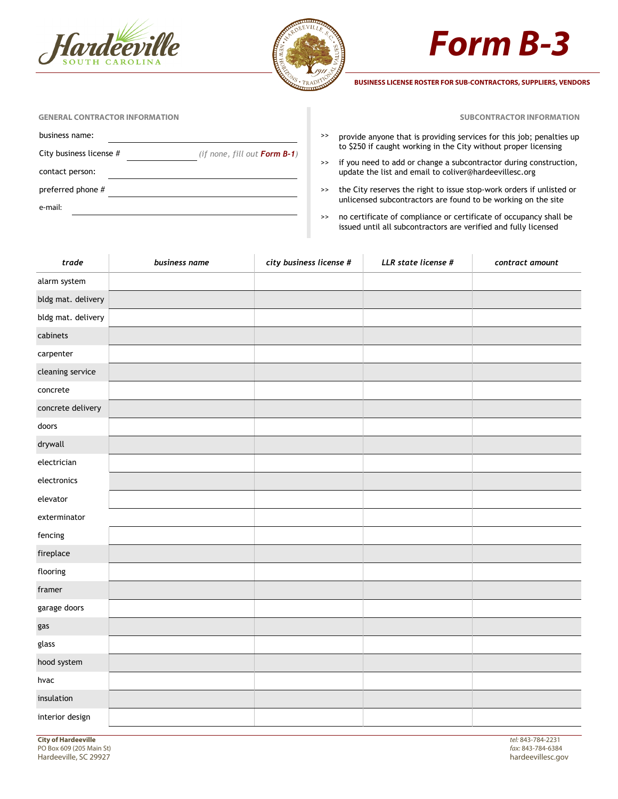



## *Form B-3*

**BUSINESS LICENSE ROSTER FOR SUB-CONTRACTORS, SUPPLIERS, VENDORS**

**GENERAL CONTRACTOR INFORMATION**

business name:

City business license # *(if none, fill out Form B-1)*

<u> 1980 - Johann Barnett, fransk politik (</u> 

contact person:

preferred phone #

e-mail:

**SUBCONTRACTOR INFORMATION**

- provide anyone that is providing services for this job; penalties up to \$250 if caught working in the City without proper licensing >>
- >> if you need to add or change a subcontractor during construction, update the list and email to coliver@hardeevillesc.org
- >> the City reserves the right to issue stop-work orders if unlisted or unlicensed subcontractors are found to be working on the site
- >> no certificate of compliance or certificate of occupancy shall be issued until all subcontractors are verified and fully licensed

| trade              | business name | city business license # | LLR state license # | contract amount |
|--------------------|---------------|-------------------------|---------------------|-----------------|
| alarm system       |               |                         |                     |                 |
| bldg mat. delivery |               |                         |                     |                 |
| bldg mat. delivery |               |                         |                     |                 |
| cabinets           |               |                         |                     |                 |
| carpenter          |               |                         |                     |                 |
| cleaning service   |               |                         |                     |                 |
| concrete           |               |                         |                     |                 |
| concrete delivery  |               |                         |                     |                 |
| doors              |               |                         |                     |                 |
| drywall            |               |                         |                     |                 |
| electrician        |               |                         |                     |                 |
| electronics        |               |                         |                     |                 |
| elevator           |               |                         |                     |                 |
| exterminator       |               |                         |                     |                 |
| fencing            |               |                         |                     |                 |
| fireplace          |               |                         |                     |                 |
| flooring           |               |                         |                     |                 |
| framer             |               |                         |                     |                 |
| garage doors       |               |                         |                     |                 |
| gas                |               |                         |                     |                 |
| glass              |               |                         |                     |                 |
| hood system        |               |                         |                     |                 |
| hvac               |               |                         |                     |                 |
| insulation         |               |                         |                     |                 |
| interior design    |               |                         |                     |                 |